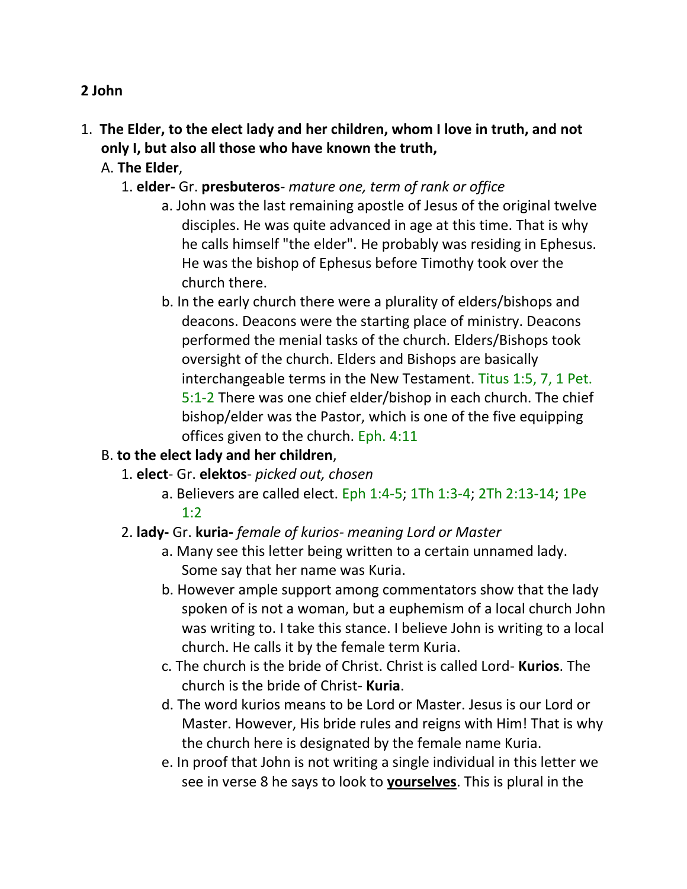#### **2 John**

- 1. **The Elder, to the elect lady and her children, whom I love in truth, and not only I, but also all those who have known the truth,** 
	- A. **The Elder**,
		- 1. **elder-** Gr. **presbuteros** *mature one, term of rank or office*
			- a. John was the last remaining apostle of Jesus of the original twelve disciples. He was quite advanced in age at this time. That is why he calls himself "the elder". He probably was residing in Ephesus. He was the bishop of Ephesus before Timothy took over the church there.
			- b. In the early church there were a plurality of elders/bishops and deacons. Deacons were the starting place of ministry. Deacons performed the menial tasks of the church. Elders/Bishops took oversight of the church. Elders and Bishops are basically interchangeable terms in the New Testament. Titus 1:5, 7, 1 Pet. 5:1-2 There was one chief elder/bishop in each church. The chief bishop/elder was the Pastor, which is one of the five equipping offices given to the church. Eph. 4:11

## B. **to the elect lady and her children**,

- 1. **elect** Gr. **elektos** *picked out, chosen*
	- a. Believers are called elect. Eph 1:4-5; 1Th 1:3-4; 2Th 2:13-14; 1Pe 1:2

## 2. **lady-** Gr. **kuria-** *female of kurios- meaning Lord or Master*

- a. Many see this letter being written to a certain unnamed lady. Some say that her name was Kuria.
- b. However ample support among commentators show that the lady spoken of is not a woman, but a euphemism of a local church John was writing to. I take this stance. I believe John is writing to a local church. He calls it by the female term Kuria.
- c. The church is the bride of Christ. Christ is called Lord- **Kurios**. The church is the bride of Christ- **Kuria**.
- d. The word kurios means to be Lord or Master. Jesus is our Lord or Master. However, His bride rules and reigns with Him! That is why the church here is designated by the female name Kuria.
- e. In proof that John is not writing a single individual in this letter we see in verse 8 he says to look to **yourselves**. This is plural in the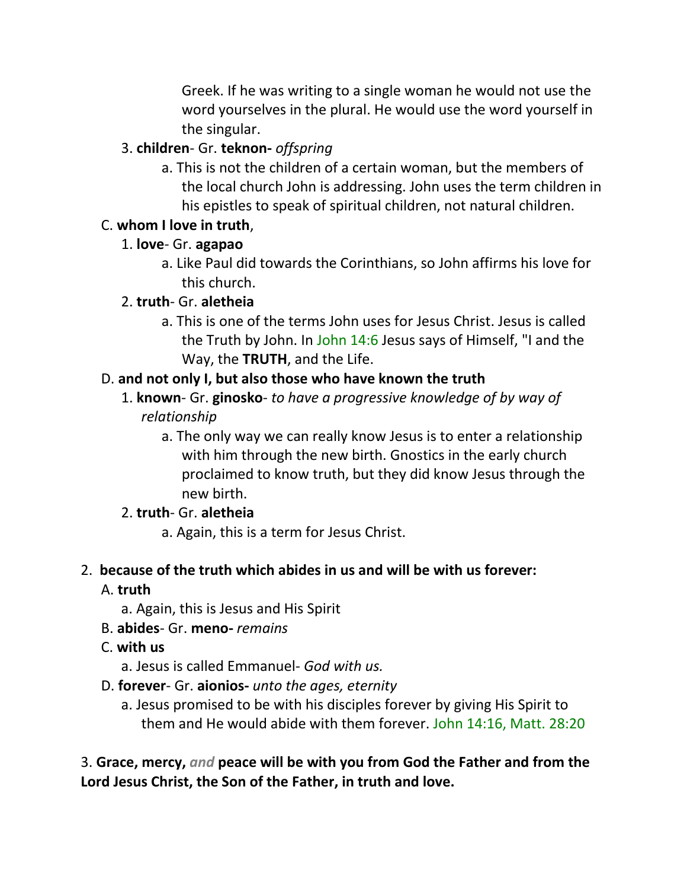Greek. If he was writing to a single woman he would not use the word yourselves in the plural. He would use the word yourself in the singular.

## 3. **children**- Gr. **teknon-** *offspring*

a. This is not the children of a certain woman, but the members of the local church John is addressing. John uses the term children in his epistles to speak of spiritual children, not natural children.

## C. **whom I love in truth**,

## 1. **love**- Gr. **agapao**

a. Like Paul did towards the Corinthians, so John affirms his love for this church.

## 2. **truth**- Gr. **aletheia**

a. This is one of the terms John uses for Jesus Christ. Jesus is called the Truth by John. In John 14:6 Jesus says of Himself, "I and the Way, the **TRUTH**, and the Life.

## D. **and not only I, but also those who have known the truth**

- 1. **known** Gr. **ginosko** *to have a progressive knowledge of by way of relationship*
	- a. The only way we can really know Jesus is to enter a relationship with him through the new birth. Gnostics in the early church proclaimed to know truth, but they did know Jesus through the new birth.

# 2. **truth**- Gr. **aletheia**

a. Again, this is a term for Jesus Christ.

## 2. **because of the truth which abides in us and will be with us forever:**

## A. **truth**

- a. Again, this is Jesus and His Spirit
- B. **abides** Gr. **meno-** *remains*

## C. **with us**

a. Jesus is called Emmanuel- *God with us.*

- D. **forever** Gr. **aionios-** *unto the ages, eternity*
	- a. Jesus promised to be with his disciples forever by giving His Spirit to them and He would abide with them forever. John 14:16, Matt. 28:20

3. **Grace, mercy,** *and* **peace will be with you from God the Father and from the Lord Jesus Christ, the Son of the Father, in truth and love.**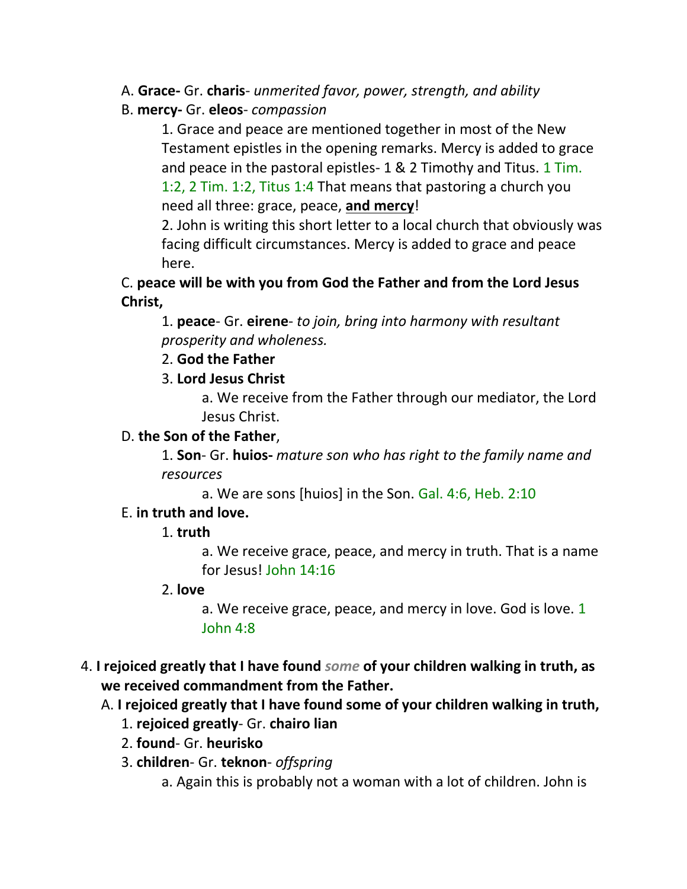- A. **Grace-** Gr. **charis** *unmerited favor, power, strength, and ability*
- B. **mercy-** Gr. **eleos** *compassion*

1. Grace and peace are mentioned together in most of the New Testament epistles in the opening remarks. Mercy is added to grace and peace in the pastoral epistles- 1 & 2 Timothy and Titus. 1 Tim. 1:2, 2 Tim. 1:2, Titus 1:4 That means that pastoring a church you need all three: grace, peace, **and mercy**!

2. John is writing this short letter to a local church that obviously was facing difficult circumstances. Mercy is added to grace and peace here.

C. **peace will be with you from God the Father and from the Lord Jesus Christ,**

1. **peace**- Gr. **eirene**- *to join, bring into harmony with resultant prosperity and wholeness.*

2. **God the Father**

#### 3. **Lord Jesus Christ**

a. We receive from the Father through our mediator, the Lord Jesus Christ.

#### D. **the Son of the Father**,

1. **Son**- Gr. **huios-** *mature son who has right to the family name and resources*

a. We are sons [huios] in the Son. Gal. 4:6, Heb. 2:10

#### E. **in truth and love.**

## 1. **truth**

a. We receive grace, peace, and mercy in truth. That is a name for Jesus! John 14:16

#### 2. **love**

a. We receive grace, peace, and mercy in love. God is love. 1 John 4:8

4. **I rejoiced greatly that I have found** *some* **of your children walking in truth, as we received commandment from the Father.**

## A. **I rejoiced greatly that I have found some of your children walking in truth,**

- 1. **rejoiced greatly** Gr. **chairo lian**
- 2. **found** Gr. **heurisko**
- 3. **children** Gr. **teknon** *offspring*

a. Again this is probably not a woman with a lot of children. John is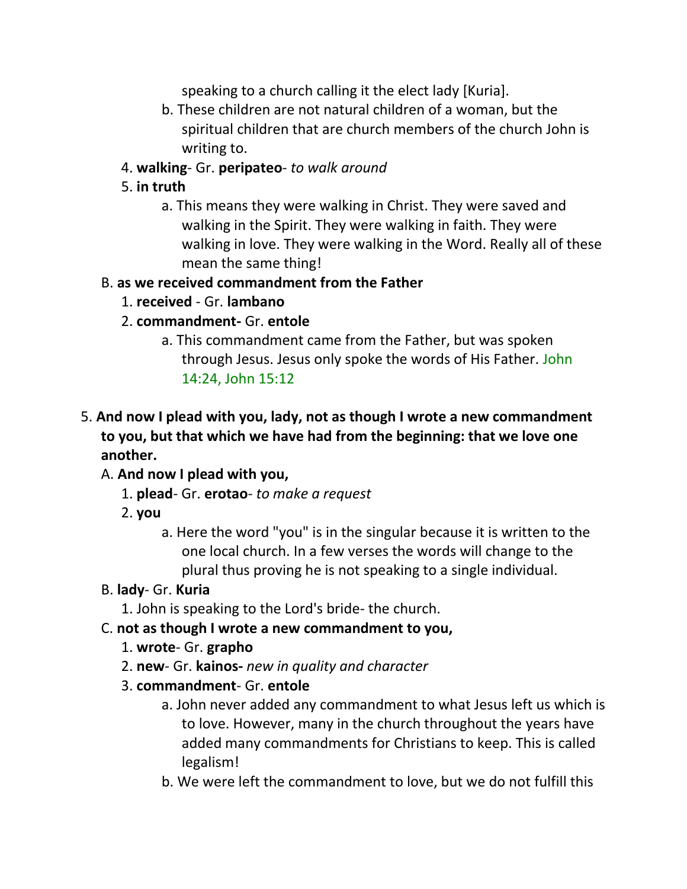speaking to a church calling it the elect lady [Kuria].

- b. These children are not natural children of a woman, but the spiritual children that are church members of the church John is writing to.
- 4. **walking** Gr. **peripateo** *to walk around*

## 5. **in truth**

a. This means they were walking in Christ. They were saved and walking in the Spirit. They were walking in faith. They were walking in love. They were walking in the Word. Really all of these mean the same thing!

#### B. **as we received commandment from the Father**

- 1. **received**  Gr. **lambano**
- 2. **commandment-** Gr. **entole**
	- a. This commandment came from the Father, but was spoken through Jesus. Jesus only spoke the words of His Father. John 14:24, John 15:12

## 5. **And now I plead with you, lady, not as though I wrote a new commandment to you, but that which we have had from the beginning: that we love one another.**

## A. **And now I plead with you,**

- 1. **plead** Gr. **erotao** *to make a request*
- 2. **you**
	- a. Here the word "you" is in the singular because it is written to the one local church. In a few verses the words will change to the plural thus proving he is not speaking to a single individual.

#### B. **lady**- Gr. **Kuria**

1. John is speaking to the Lord's bride- the church.

## C. **not as though I wrote a new commandment to you,**

- 1. **wrote** Gr. **grapho**
- 2. **new** Gr. **kainos-** *new in quality and character*

#### 3. **commandment**- Gr. **entole**

- a. John never added any commandment to what Jesus left us which is to love. However, many in the church throughout the years have added many commandments for Christians to keep. This is called legalism!
- b. We were left the commandment to love, but we do not fulfill this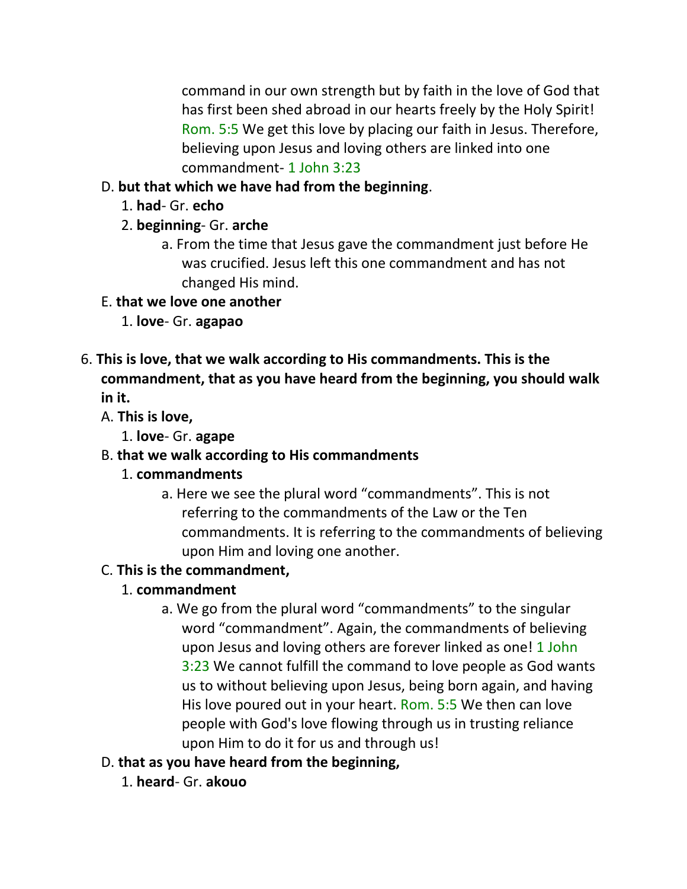command in our own strength but by faith in the love of God that has first been shed abroad in our hearts freely by the Holy Spirit! Rom. 5:5 We get this love by placing our faith in Jesus. Therefore, believing upon Jesus and loving others are linked into one commandment- 1 John 3:23

## D. **but that which we have had from the beginning**.

- 1. **had** Gr. **echo**
- 2. **beginning** Gr. **arche**
	- a. From the time that Jesus gave the commandment just before He was crucified. Jesus left this one commandment and has not changed His mind.
- E. **that we love one another**
	- 1. **love** Gr. **agapao**
- 6. **This is love, that we walk according to His commandments. This is the commandment, that as you have heard from the beginning, you should walk in it.** 
	- A. **This is love,**
		- 1. **love** Gr. **agape**

# B. **that we walk according to His commandments**

## 1. **commandments**

a. Here we see the plural word "commandments". This is not referring to the commandments of the Law or the Ten commandments. It is referring to the commandments of believing upon Him and loving one another.

# C. **This is the commandment,**

- 1. **commandment**
	- a. We go from the plural word "commandments" to the singular word "commandment". Again, the commandments of believing upon Jesus and loving others are forever linked as one! 1 John 3:23 We cannot fulfill the command to love people as God wants us to without believing upon Jesus, being born again, and having His love poured out in your heart. Rom. 5:5 We then can love people with God's love flowing through us in trusting reliance upon Him to do it for us and through us!
- D. **that as you have heard from the beginning,**
	- 1. **heard** Gr. **akouo**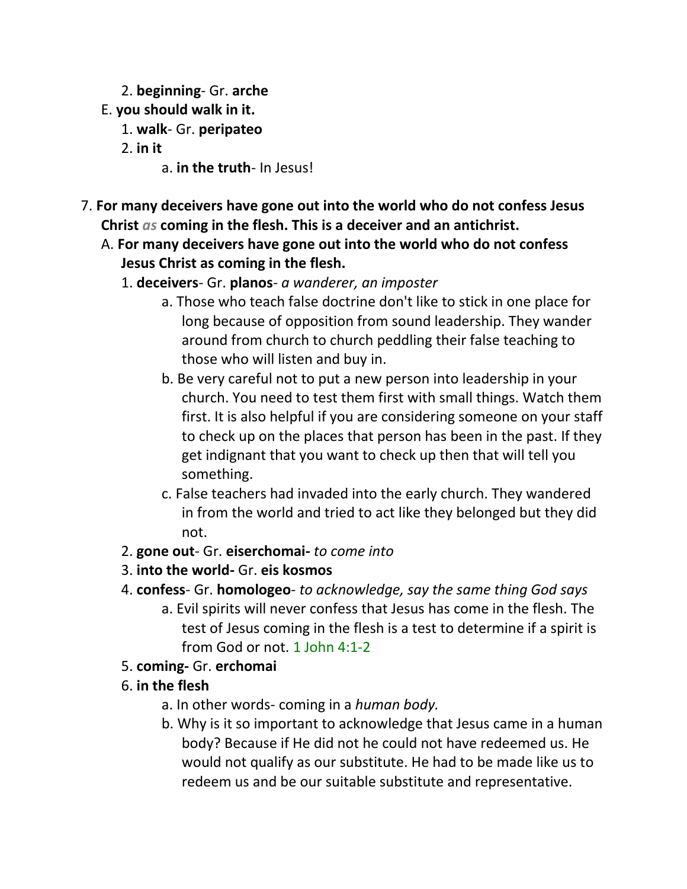- 2. **beginning** Gr. **arche**
- E. **you should walk in it.**
	- 1. **walk** Gr. **peripateo**
	- 2. **in it**
		- a. **in the truth** In Jesus!
- 7. **For many deceivers have gone out into the world who do not confess Jesus Christ** *as* **coming in the flesh. This is a deceiver and an antichrist.** 
	- A. **For many deceivers have gone out into the world who do not confess Jesus Christ as coming in the flesh.**
		- 1. **deceivers** Gr. **planos** *a wanderer, an imposter*
			- a. Those who teach false doctrine don't like to stick in one place for long because of opposition from sound leadership. They wander around from church to church peddling their false teaching to those who will listen and buy in.
			- b. Be very careful not to put a new person into leadership in your church. You need to test them first with small things. Watch them first. It is also helpful if you are considering someone on your staff to check up on the places that person has been in the past. If they get indignant that you want to check up then that will tell you something.
			- c. False teachers had invaded into the early church. They wandered in from the world and tried to act like they belonged but they did not.
		- 2. **gone out** Gr. **eiserchomai-** *to come into*
		- 3. **into the world-** Gr. **eis kosmos**
		- 4. **confess** Gr. **homologeo** *to acknowledge, say the same thing God says*
			- a. Evil spirits will never confess that Jesus has come in the flesh. The test of Jesus coming in the flesh is a test to determine if a spirit is from God or not. 1 John 4:1-2
		- 5. **coming-** Gr. **erchomai**
		- 6. **in the flesh**
			- a. In other words- coming in a *human body.*
			- b. Why is it so important to acknowledge that Jesus came in a human body? Because if He did not he could not have redeemed us. He would not qualify as our substitute. He had to be made like us to redeem us and be our suitable substitute and representative.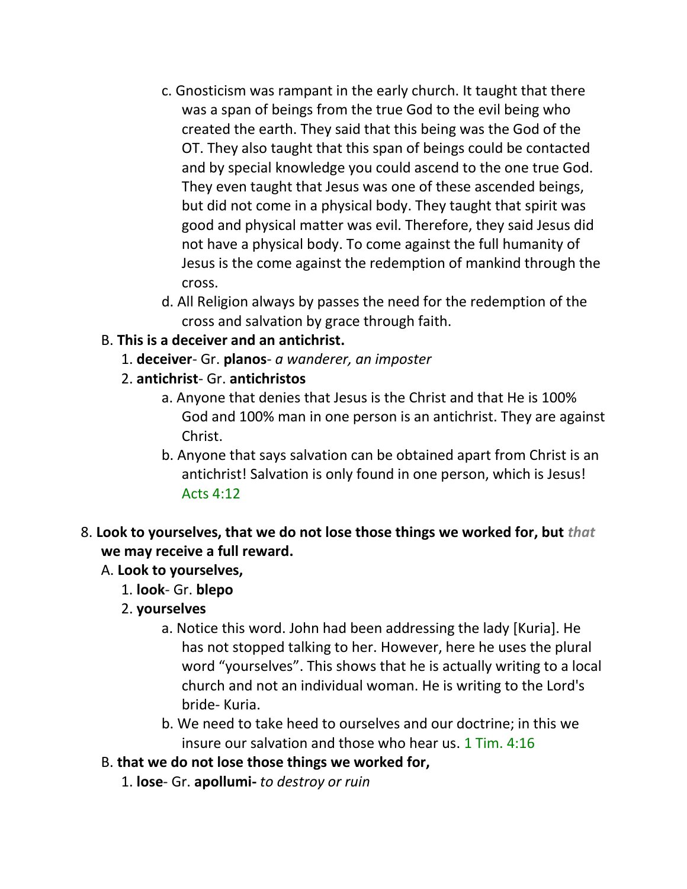- c. Gnosticism was rampant in the early church. It taught that there was a span of beings from the true God to the evil being who created the earth. They said that this being was the God of the OT. They also taught that this span of beings could be contacted and by special knowledge you could ascend to the one true God. They even taught that Jesus was one of these ascended beings, but did not come in a physical body. They taught that spirit was good and physical matter was evil. Therefore, they said Jesus did not have a physical body. To come against the full humanity of Jesus is the come against the redemption of mankind through the cross.
- d. All Religion always by passes the need for the redemption of the cross and salvation by grace through faith.

## B. **This is a deceiver and an antichrist.**

- 1. **deceiver** Gr. **planos** *a wanderer, an imposter*
- 2. **antichrist** Gr. **antichristos**
	- a. Anyone that denies that Jesus is the Christ and that He is 100% God and 100% man in one person is an antichrist. They are against Christ.
	- b. Anyone that says salvation can be obtained apart from Christ is an antichrist! Salvation is only found in one person, which is Jesus! Acts 4:12
- 8. **Look to yourselves, that we do not lose those things we worked for, but** *that* **we may receive a full reward.**

## A. **Look to yourselves,**

- 1. **look** Gr. **blepo**
- 2. **yourselves**
	- a. Notice this word. John had been addressing the lady [Kuria]. He has not stopped talking to her. However, here he uses the plural word "yourselves". This shows that he is actually writing to a local church and not an individual woman. He is writing to the Lord's bride- Kuria.
	- b. We need to take heed to ourselves and our doctrine; in this we insure our salvation and those who hear us. 1 Tim. 4:16
- B. **that we do not lose those things we worked for,**
	- 1. **lose** Gr. **apollumi-** *to destroy or ruin*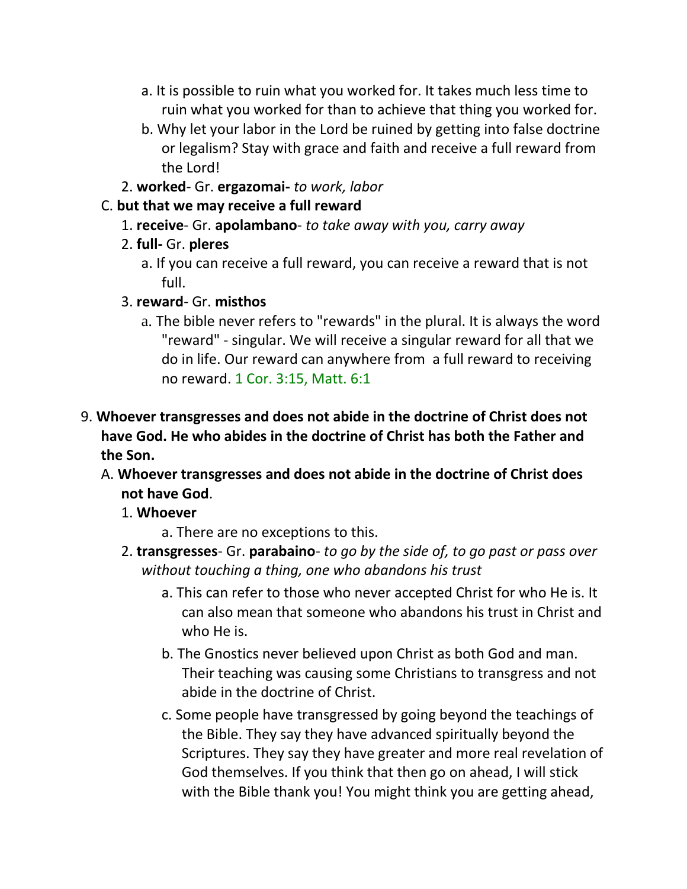- a. It is possible to ruin what you worked for. It takes much less time to ruin what you worked for than to achieve that thing you worked for.
- b. Why let your labor in the Lord be ruined by getting into false doctrine or legalism? Stay with grace and faith and receive a full reward from the Lord!
- 2. **worked** Gr. **ergazomai-** *to work, labor*

#### C. **but that we may receive a full reward**

- 1. **receive** Gr. **apolambano** *to take away with you, carry away*
- 2. **full-** Gr. **pleres**
	- a. If you can receive a full reward, you can receive a reward that is not full.
- 3. **reward** Gr. **misthos**
	- a. The bible never refers to "rewards" in the plural. It is always the word "reward" - singular. We will receive a singular reward for all that we do in life. Our reward can anywhere from a full reward to receiving no reward. 1 Cor. 3:15, Matt. 6:1
- 9. **Whoever transgresses and does not abide in the doctrine of Christ does not have God. He who abides in the doctrine of Christ has both the Father and the Son.** 
	- A. **Whoever transgresses and does not abide in the doctrine of Christ does not have God**.
		- 1. **Whoever**
			- a. There are no exceptions to this.
		- 2. **transgresses** Gr. **parabaino** *to go by the side of, to go past or pass over without touching a thing, one who abandons his trust*
			- a. This can refer to those who never accepted Christ for who He is. It can also mean that someone who abandons his trust in Christ and who He is.
			- b. The Gnostics never believed upon Christ as both God and man. Their teaching was causing some Christians to transgress and not abide in the doctrine of Christ.
			- c. Some people have transgressed by going beyond the teachings of the Bible. They say they have advanced spiritually beyond the Scriptures. They say they have greater and more real revelation of God themselves. If you think that then go on ahead, I will stick with the Bible thank you! You might think you are getting ahead,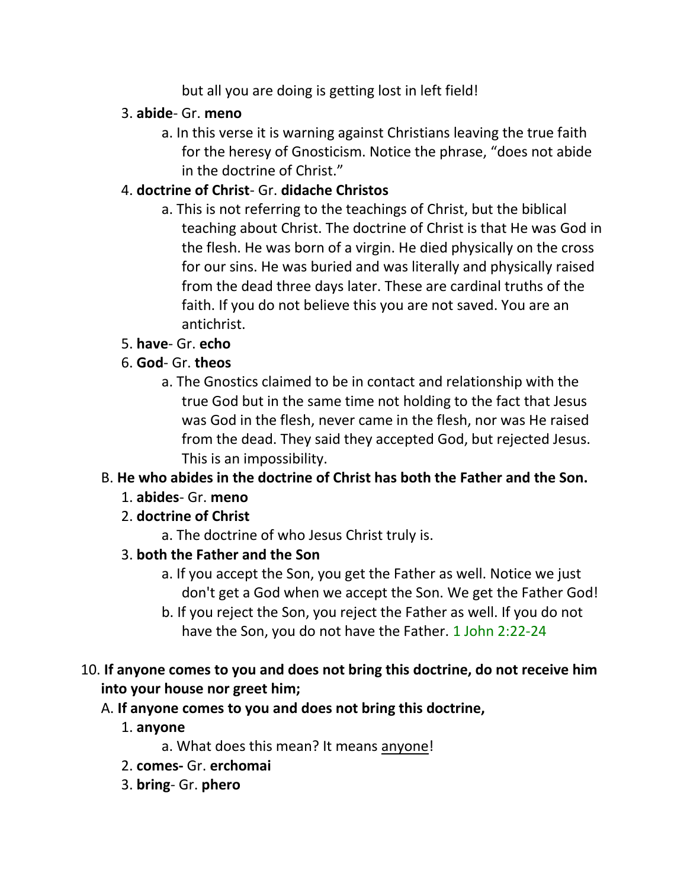but all you are doing is getting lost in left field!

## 3. **abide**- Gr. **meno**

a. In this verse it is warning against Christians leaving the true faith for the heresy of Gnosticism. Notice the phrase, "does not abide in the doctrine of Christ."

# 4. **doctrine of Christ**- Gr. **didache Christos**

a. This is not referring to the teachings of Christ, but the biblical teaching about Christ. The doctrine of Christ is that He was God in the flesh. He was born of a virgin. He died physically on the cross for our sins. He was buried and was literally and physically raised from the dead three days later. These are cardinal truths of the faith. If you do not believe this you are not saved. You are an antichrist.

# 5. **have**- Gr. **echo**

# 6. **God**- Gr. **theos**

a. The Gnostics claimed to be in contact and relationship with the true God but in the same time not holding to the fact that Jesus was God in the flesh, never came in the flesh, nor was He raised from the dead. They said they accepted God, but rejected Jesus. This is an impossibility.

# B. **He who abides in the doctrine of Christ has both the Father and the Son.**

# 1. **abides**- Gr. **meno**

- 2. **doctrine of Christ**
	- a. The doctrine of who Jesus Christ truly is.

# 3. **both the Father and the Son**

- a. If you accept the Son, you get the Father as well. Notice we just don't get a God when we accept the Son. We get the Father God!
- b. If you reject the Son, you reject the Father as well. If you do not have the Son, you do not have the Father. 1 John 2:22-24

# 10. **If anyone comes to you and does not bring this doctrine, do not receive him into your house nor greet him;**

# A. **If anyone comes to you and does not bring this doctrine,**

- 1. **anyone**
	- a. What does this mean? It means anyone!
- 2. **comes-** Gr. **erchomai**
- 3. **bring** Gr. **phero**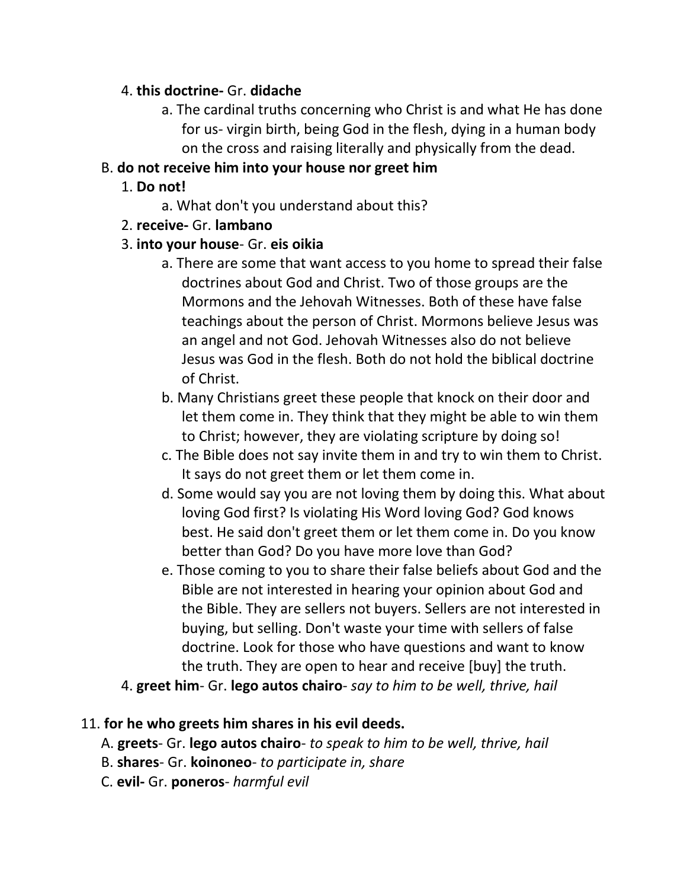#### 4. **this doctrine-** Gr. **didache**

a. The cardinal truths concerning who Christ is and what He has done for us- virgin birth, being God in the flesh, dying in a human body on the cross and raising literally and physically from the dead.

## B. **do not receive him into your house nor greet him**

- 1. **Do not!**
	- a. What don't you understand about this?
- 2. **receive-** Gr. **lambano**

## 3. **into your house**- Gr. **eis oikia**

- a. There are some that want access to you home to spread their false doctrines about God and Christ. Two of those groups are the Mormons and the Jehovah Witnesses. Both of these have false teachings about the person of Christ. Mormons believe Jesus was an angel and not God. Jehovah Witnesses also do not believe Jesus was God in the flesh. Both do not hold the biblical doctrine of Christ.
- b. Many Christians greet these people that knock on their door and let them come in. They think that they might be able to win them to Christ; however, they are violating scripture by doing so!
- c. The Bible does not say invite them in and try to win them to Christ. It says do not greet them or let them come in.
- d. Some would say you are not loving them by doing this. What about loving God first? Is violating His Word loving God? God knows best. He said don't greet them or let them come in. Do you know better than God? Do you have more love than God?
- e. Those coming to you to share their false beliefs about God and the Bible are not interested in hearing your opinion about God and the Bible. They are sellers not buyers. Sellers are not interested in buying, but selling. Don't waste your time with sellers of false doctrine. Look for those who have questions and want to know the truth. They are open to hear and receive [buy] the truth.
- 4. **greet him** Gr. **lego autos chairo** *say to him to be well, thrive, hail*

# 11. **for he who greets him shares in his evil deeds.**

- A. **greets** Gr. **lego autos chairo** *to speak to him to be well, thrive, hail*
- B. **shares** Gr. **koinoneo** *to participate in, share*
- C. **evil-** Gr. **poneros** *harmful evil*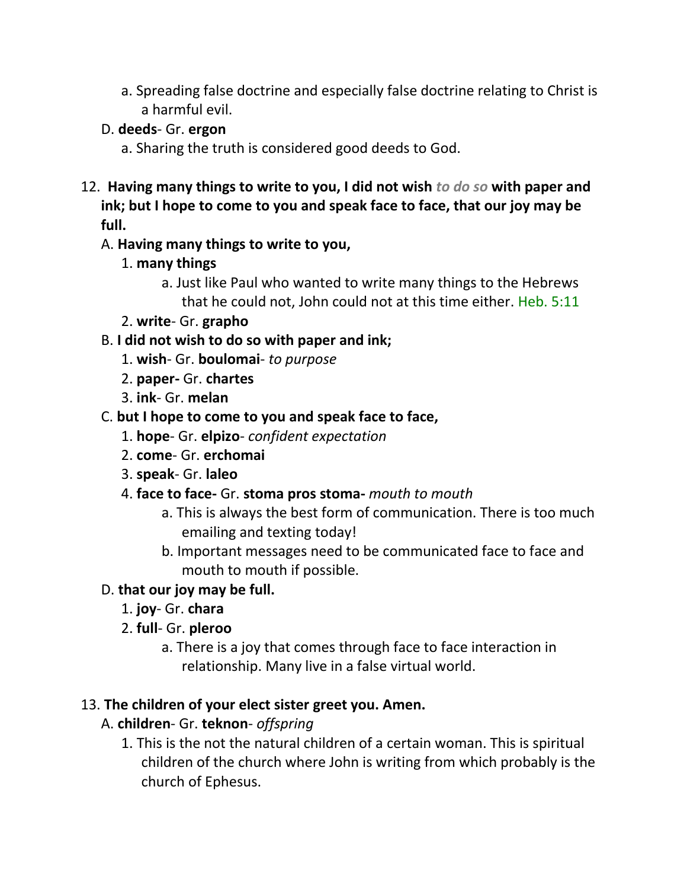a. Spreading false doctrine and especially false doctrine relating to Christ is a harmful evil.

## D. **deeds**- Gr. **ergon**

- a. Sharing the truth is considered good deeds to God.
- 12. **Having many things to write to you, I did not wish** *to do so* **with paper and ink; but I hope to come to you and speak face to face, that our joy may be full.**

#### A. **Having many things to write to you,**

- 1. **many things**
	- a. Just like Paul who wanted to write many things to the Hebrews that he could not, John could not at this time either. Heb. 5:11
- 2. **write** Gr. **grapho**

## B. **I did not wish to do so with paper and ink;**

- 1. **wish** Gr. **boulomai** *to purpose*
- 2. **paper-** Gr. **chartes**
- 3. **ink** Gr. **melan**
- C. **but I hope to come to you and speak face to face,**
	- 1. **hope** Gr. **elpizo** *confident expectation*
	- 2. **come** Gr. **erchomai**
	- 3. **speak** Gr. **laleo**
	- 4. **face to face-** Gr. **stoma pros stoma-** *mouth to mouth*
		- a. This is always the best form of communication. There is too much emailing and texting today!
		- b. Important messages need to be communicated face to face and mouth to mouth if possible.

## D. **that our joy may be full.**

- 1. **joy** Gr. **chara**
- 2. **full** Gr. **pleroo**
	- a. There is a joy that comes through face to face interaction in relationship. Many live in a false virtual world.

#### 13. **The children of your elect sister greet you. Amen.**

- A. **children** Gr. **teknon** *offspring*
	- 1. This is the not the natural children of a certain woman. This is spiritual children of the church where John is writing from which probably is the church of Ephesus.